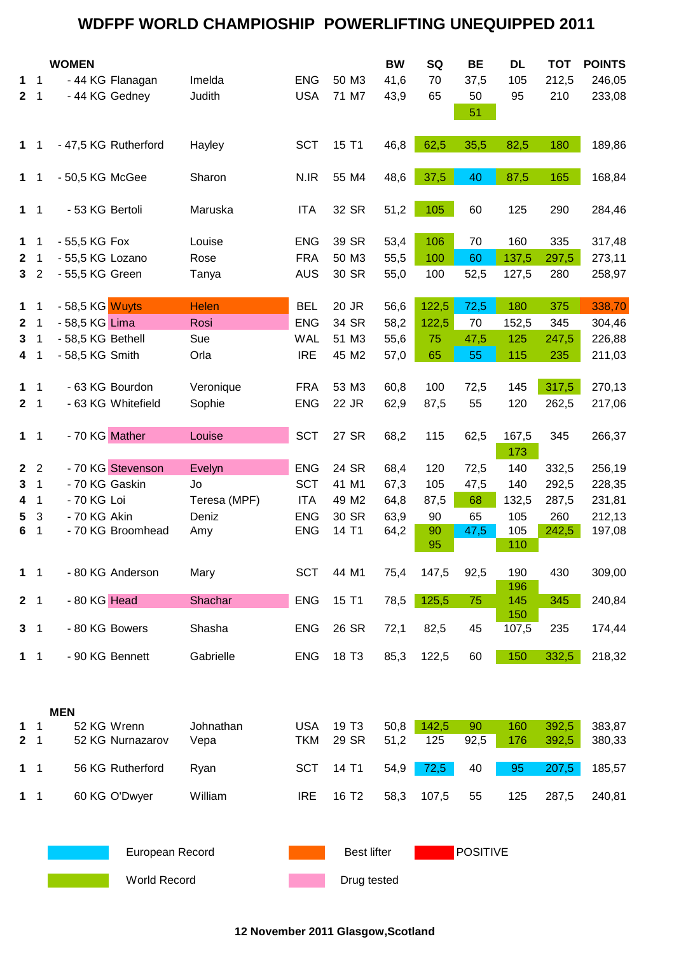### **WDFPF WORLD CHAMPIOSHIP POWERLIFTING UNEQUIPPED 2011**

|                   |                      | <b>WOMEN</b>                    |                   |                          |                            | <b>BW</b>    | SQ           | <b>BE</b>       | <b>DL</b>    | <b>TOT</b>     | <b>POINTS</b>    |  |
|-------------------|----------------------|---------------------------------|-------------------|--------------------------|----------------------------|--------------|--------------|-----------------|--------------|----------------|------------------|--|
| 1                 | $\mathbf 1$          | - 44 KG Flanagan                | Imelda            | <b>ENG</b>               | 50 M3                      | 41,6         | 70           | 37,5            | 105          | 212,5          | 246,05           |  |
| $\mathbf{2}$      | $\overline{1}$       | - 44 KG Gedney                  | Judith            | <b>USA</b>               | 71 M7                      | 43,9         | 65           | 50              | 95           | 210            | 233,08           |  |
|                   |                      |                                 |                   |                          |                            |              |              | 51              |              |                |                  |  |
| $1 \quad 1$       |                      | - 47,5 KG Rutherford            | Hayley            | <b>SCT</b>               | 15 T1                      | 46,8         | 62,5         | 35,5            | 82,5         | 180            | 189,86           |  |
| $\mathbf 1$       | $\overline{1}$       | - 50,5 KG McGee                 | Sharon            | N.IR                     | 55 M4                      | 48,6         | 37,5         | 40              | 87,5         | 165            | 168,84           |  |
| $1 \quad 1$       |                      | - 53 KG Bertoli                 | Maruska           | <b>ITA</b>               | 32 SR                      | 51,2         | 105          | 60              | 125          | 290            | 284,46           |  |
| $\mathbf 1$       | $\mathbf 1$          | - 55,5 KG Fox                   | Louise            | <b>ENG</b>               | 39 SR                      | 53,4         | 106          | 70              | 160          | 335            | 317,48           |  |
| $\mathbf{2}$      | $\mathbf 1$          | - 55,5 KG Lozano                | Rose              | <b>FRA</b>               | 50 M3                      | 55,5         | 100          | 60              | 137,5        | 297,5          | 273,11           |  |
| 3 <sub>2</sub>    |                      | - 55,5 KG Green                 | Tanya             | <b>AUS</b>               | 30 SR                      | 55,0         | 100          | 52,5            | 127,5        | 280            | 258,97           |  |
| $\mathbf 1$       | 1                    | - 58,5 KG Wuyts                 | <b>Helen</b>      | <b>BEL</b>               | 20 JR                      | 56,6         | 122,5        | 72,5            | 180          | 375            | 338,70           |  |
| $\mathbf{2}$      | $\mathbf 1$          | - 58,5 KG Lima                  | Rosi              | <b>ENG</b>               | 34 SR                      | 58,2         | 122,5        | 70              | 152,5        | 345            | 304,46           |  |
| 3                 | 1                    | - 58,5 KG Bethell               | Sue               | <b>WAL</b>               | 51 M3                      | 55,6         | 75           | 47,5            | 125          | 247,5          | 226,88           |  |
| 4                 | $\mathbf 1$          | - 58,5 KG Smith                 | Orla              | <b>IRE</b>               | 45 M2                      | 57,0         | 65           | 55              | 115          | 235            | 211,03           |  |
|                   |                      |                                 |                   |                          |                            |              |              |                 |              |                |                  |  |
| 1                 | $\overline{1}$       | - 63 KG Bourdon                 | Veronique         | <b>FRA</b>               | 53 M3                      | 60,8         | 100          | 72,5            | 145          | 317,5          | 270,13           |  |
| 2 <sub>1</sub>    |                      | - 63 KG Whitefield              | Sophie            | <b>ENG</b>               | 22 JR                      | 62,9         | 87,5         | 55              | 120          | 262,5          | 217,06           |  |
|                   |                      |                                 |                   |                          |                            |              |              |                 |              |                |                  |  |
| $1 \quad 1$       |                      | - 70 KG Mather                  | Louise            | <b>SCT</b>               | 27 SR                      | 68,2         | 115          | 62,5            | 167,5<br>173 | 345            | 266,37           |  |
| 2 <sub>2</sub>    |                      | - 70 KG Stevenson               | Evelyn            | <b>ENG</b>               | 24 SR                      | 68,4         | 120          | 72,5            | 140          | 332,5          | 256,19           |  |
| 3                 | 1                    | - 70 KG Gaskin                  | Jo                | <b>SCT</b>               | 41 M1                      | 67,3         | 105          | 47,5            | 140          | 292,5          | 228,35           |  |
| 4                 | 1                    | - 70 KG Loi                     | Teresa (MPF)      | <b>ITA</b>               | 49 M2                      | 64,8         | 87,5         | 68              | 132,5        | 287,5          | 231,81           |  |
| 5                 | 3                    | - 70 KG Akin                    | Deniz             | <b>ENG</b>               | 30 SR                      | 63,9         | 90           | 65              | 105          | 260            | 212,13           |  |
| 6                 | $\mathbf 1$          | - 70 KG Broomhead               | Amy               | <b>ENG</b>               | 14 T1                      | 64,2         | 90           | 47,5            | 105          | 242,5          | 197,08           |  |
|                   |                      |                                 |                   |                          |                            |              | 95           |                 | 110          |                |                  |  |
| $\mathbf 1$       | $\overline{1}$       | - 80 KG Anderson                | Mary              | <b>SCT</b>               | 44 M1                      | 75,4         | 147,5        | 92,5            | 190<br>196   | 430            | 309,00           |  |
| 2 <sub>1</sub>    |                      | - 80 KG Head                    | Shachar           | <b>ENG</b>               | 15 T1                      | 78,5         | 125,5        | 75              | 145<br>150   | 345            | 240,84           |  |
| 3 <sub>1</sub>    |                      | - 80 KG Bowers                  | Shasha            | <b>ENG</b>               | 26 SR                      | 72,1         | 82,5         | 45              | 107,5        | 235            | 174,44           |  |
| $1 \quad 1$       |                      | - 90 KG Bennett                 | Gabrielle         | <b>ENG</b>               | 18 T <sub>3</sub>          | 85,3         | 122,5        | 60              | 150          | 332,5          | 218,32           |  |
|                   |                      |                                 |                   |                          |                            |              |              |                 |              |                |                  |  |
|                   |                      | <b>MEN</b>                      |                   |                          |                            |              |              |                 |              |                |                  |  |
| 1<br>$\mathbf{2}$ | -1<br>$\overline{1}$ | 52 KG Wrenn<br>52 KG Nurnazarov | Johnathan<br>Vepa | <b>USA</b><br><b>TKM</b> | 19 T <sub>3</sub><br>29 SR | 50,8<br>51,2 | 142,5<br>125 | 90<br>92,5      | 160<br>176   | 392,5<br>392,5 | 383,87<br>380,33 |  |
| 1                 | $\overline{1}$       | 56 KG Rutherford                | Ryan              | <b>SCT</b>               | 14 T1                      | 54,9         | 72,5         | 40              | 95           | 207,5          | 185,57           |  |
| $\mathbf 1$       | $\overline{1}$       | 60 KG O'Dwyer                   | William           | <b>IRE</b>               | 16 T <sub>2</sub>          | 58,3         | 107,5        | 55              | 125          | 287,5          | 240,81           |  |
|                   |                      |                                 |                   |                          |                            |              |              |                 |              |                |                  |  |
|                   |                      | European Record                 |                   |                          | <b>Best lifter</b>         |              |              | <b>POSITIVE</b> |              |                |                  |  |
|                   |                      | World Record                    |                   |                          | Drug tested                |              |              |                 |              |                |                  |  |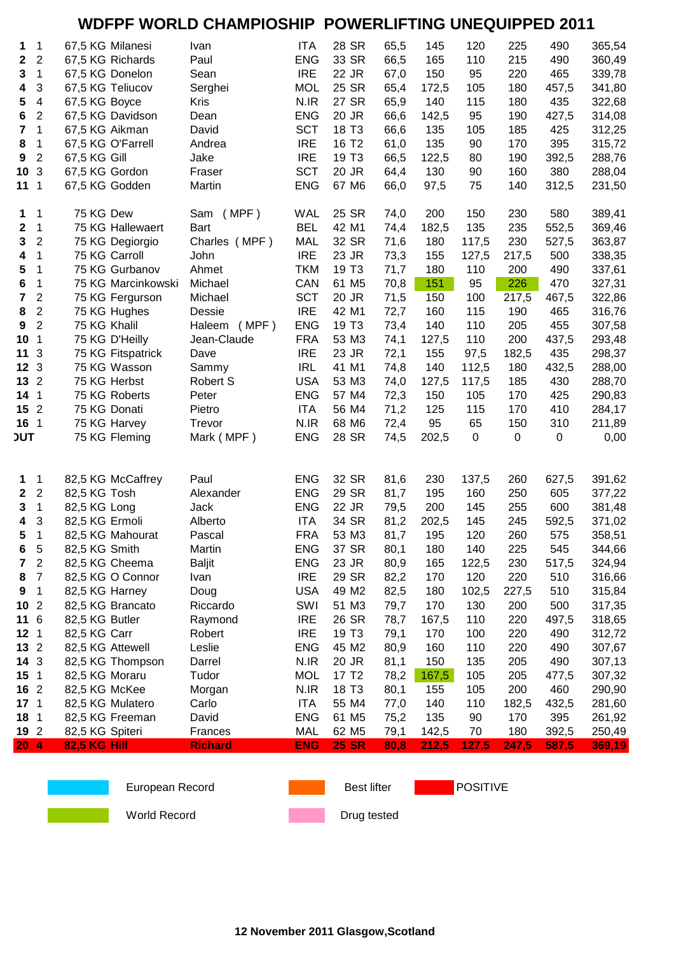### **WDFPF WORLD CHAMPIOSHIP POWERLIFTING UNEQUIPPED 2011**

| 1                | 1                       | 67,5 KG Milanesi    | Ivan            | <b>ITA</b> | 28 SR             | 65,5 | 145   | 120   | 225         | 490         | 365,54 |
|------------------|-------------------------|---------------------|-----------------|------------|-------------------|------|-------|-------|-------------|-------------|--------|
| $\mathbf 2$      | $\overline{2}$          | 67,5 KG Richards    | Paul            | <b>ENG</b> | 33 SR             | 66,5 | 165   | 110   | 215         | 490         | 360,49 |
| 3                | $\mathbf 1$             | 67,5 KG Donelon     | Sean            | <b>IRE</b> | 22 JR             | 67,0 | 150   | 95    | 220         | 465         | 339,78 |
| 4                | 3                       | 67,5 KG Teliucov    | Serghei         | <b>MOL</b> | 25 SR             | 65,4 | 172,5 | 105   | 180         | 457,5       | 341,80 |
| 5                | $\overline{\mathbf{4}}$ | 67,5 KG Boyce       | <b>Kris</b>     | N.IR       | 27 SR             | 65,9 | 140   | 115   | 180         | 435         | 322,68 |
| 6                | $\overline{2}$          | 67,5 KG Davidson    | Dean            | <b>ENG</b> | 20 JR             | 66,6 | 142,5 | 95    | 190         | 427,5       | 314,08 |
| 7                | $\mathbf{1}$            | 67,5 KG Aikman      | David           | <b>SCT</b> | 18 T <sub>3</sub> | 66,6 | 135   | 105   | 185         | 425         | 312,25 |
| 8                | $\mathbf{1}$            | 67,5 KG O'Farrell   | Andrea          | <b>IRE</b> | 16 T <sub>2</sub> | 61,0 | 135   | 90    | 170         | 395         | 315,72 |
| 9                | $\overline{2}$          | 67,5 KG Gill        | Jake            | <b>IRE</b> | 19 T <sub>3</sub> | 66,5 | 122,5 | 80    | 190         | 392,5       | 288,76 |
| 10               | 3                       | 67,5 KG Gordon      | Fraser          | <b>SCT</b> | 20 JR             | 64,4 | 130   | 90    | 160         | 380         | 288,04 |
| 11               | $\mathbf 1$             | 67,5 KG Godden      | Martin          | <b>ENG</b> | 67 M6             | 66,0 | 97,5  | 75    | 140         | 312,5       | 231,50 |
| 1                | 1                       | 75 KG Dew           | Sam (MPF)       | WAL        | 25 SR             | 74,0 | 200   | 150   | 230         | 580         | 389,41 |
| 2                | $\mathbf{1}$            | 75 KG Hallewaert    | Bart            | <b>BEL</b> | 42 M1             | 74,4 | 182,5 | 135   | 235         | 552,5       | 369,46 |
| $\mathbf 3$      | $\overline{2}$          | 75 KG Degiorgio     | Charles (MPF)   | <b>MAL</b> | 32 SR             | 71,6 | 180   | 117,5 | 230         | 527,5       | 363,87 |
| 4                | $\mathbf 1$             | 75 KG Carroll       | John            | <b>IRE</b> | 23 JR             | 73,3 | 155   | 127,5 | 217,5       | 500         | 338,35 |
| 5                | $\mathbf 1$             | 75 KG Gurbanov      | Ahmet           | <b>TKM</b> | 19 T <sub>3</sub> | 71,7 | 180   | 110   | 200         | 490         | 337,61 |
| 6                | $\mathbf 1$             | 75 KG Marcinkowski  | Michael         | CAN        | 61 M <sub>5</sub> | 70,8 | 151   | 95    | 226         | 470         | 327,31 |
| $\overline{7}$   | $\overline{2}$          | 75 KG Fergurson     | Michael         | <b>SCT</b> | 20 JR             | 71,5 | 150   | 100   | 217,5       | 467,5       | 322,86 |
| 8                | $\overline{c}$          | 75 KG Hughes        | Dessie          | <b>IRE</b> | 42 M1             | 72,7 | 160   | 115   | 190         | 465         | 316,76 |
| 9                | $\overline{2}$          | 75 KG Khalil        | Haleem<br>(MPF) | <b>ENG</b> | 19 T <sub>3</sub> | 73,4 | 140   | 110   | 205         | 455         | 307,58 |
| 10               | $\mathbf 1$             | 75 KG D'Heilly      | Jean-Claude     | <b>FRA</b> | 53 M3             | 74,1 | 127,5 | 110   | 200         | 437,5       | 293,48 |
| 11               | 3                       | 75 KG Fitspatrick   | Dave            | <b>IRE</b> | 23 JR             | 72,1 | 155   | 97,5  | 182,5       | 435         | 298,37 |
| 12               | 3                       | 75 KG Wasson        | Sammy           | <b>IRL</b> | 41 M1             | 74,8 | 140   | 112,5 | 180         | 432,5       | 288,00 |
| 13               | $\overline{2}$          | 75 KG Herbst        | Robert S        | <b>USA</b> | 53 M3             | 74,0 | 127,5 | 117,5 | 185         | 430         | 288,70 |
| 14               | $\overline{1}$          | 75 KG Roberts       | Peter           | <b>ENG</b> | 57 M4             | 72,3 | 150   | 105   | 170         | 425         | 290,83 |
| 15               | $\overline{2}$          | 75 KG Donati        | Pietro          | <b>ITA</b> | 56 M4             | 71,2 | 125   | 115   | 170         | 410         | 284,17 |
| 16               | $\overline{1}$          | 75 KG Harvey        | Trevor          | N.IR       | 68 M6             | 72,4 | 95    | 65    | 150         | 310         | 211,89 |
| <b>JUT</b>       |                         | 75 KG Fleming       | Mark (MPF)      | <b>ENG</b> | 28 SR             | 74,5 | 202,5 | 0     | $\mathsf 0$ | $\mathbf 0$ | 0,00   |
|                  |                         |                     |                 |            |                   |      |       |       |             |             |        |
| 1                | $\mathbf{1}$            | 82,5 KG McCaffrey   | Paul            | <b>ENG</b> | 32 SR             | 81,6 | 230   | 137,5 | 260         | 627,5       | 391,62 |
| $\boldsymbol{2}$ | $\overline{2}$          | 82,5 KG Tosh        | Alexander       | <b>ENG</b> | 29 SR             | 81,7 | 195   | 160   | 250         | 605         | 377,22 |
| 3                | $\mathbf{1}$            | 82,5 KG Long        | Jack            | <b>ENG</b> | 22 JR             | 79,5 | 200   | 145   | 255         | 600         | 381,48 |
| 4                | 3                       | 82,5 KG Ermoli      | Alberto         | <b>ITA</b> | 34 SR             | 81,2 | 202,5 | 145   | 245         | 592,5       | 371,02 |
| 5                | 1                       | 82,5 KG Mahourat    | Pascal          | <b>FRA</b> | 53 M3             | 81,7 | 195   | 120   | 260         | 575         | 358,51 |
| 6                | 5                       | 82,5 KG Smith       | Martin          | <b>ENG</b> | 37 SR             | 80,1 | 180   | 140   | 225         | 545         | 344,66 |
| 7                | $\overline{2}$          | 82,5 KG Cheema      | <b>Baljit</b>   | <b>ENG</b> | 23 JR             | 80,9 | 165   | 122,5 | 230         | 517,5       | 324,94 |
| 8                | $\overline{7}$          | 82,5 KG O Connor    | Ivan            | <b>IRE</b> | 29 SR             | 82,2 | 170   | 120   | 220         | 510         | 316,66 |
| 9                | $\mathbf{1}$            | 82,5 KG Harney      | Doug            | <b>USA</b> | 49 M2             | 82,5 | 180   | 102,5 | 227,5       | 510         | 315,84 |
| 10               | $\overline{2}$          | 82,5 KG Brancato    | Riccardo        | SWI        | 51 M3             | 79,7 | 170   | 130   | 200         | 500         | 317,35 |
| 11               | $6\phantom{1}6$         | 82,5 KG Butler      | Raymond         | <b>IRE</b> | 26 SR             | 78,7 | 167,5 | 110   | 220         | 497,5       | 318,65 |
| 12               | $\overline{1}$          | 82,5 KG Carr        | Robert          | <b>IRE</b> | 19 T <sub>3</sub> | 79,1 | 170   | 100   | 220         | 490         | 312,72 |
| 13               | $\overline{2}$          | 82,5 KG Attewell    | Leslie          | <b>ENG</b> | 45 M2             | 80,9 | 160   | 110   | 220         | 490         | 307,67 |
| 14               | 3                       | 82,5 KG Thompson    | Darrel          | N.IR       | 20 JR             | 81,1 | 150   | 135   | 205         | 490         | 307,13 |
| 15               | $\overline{1}$          | 82,5 KG Moraru      | Tudor           | <b>MOL</b> | 17 T <sub>2</sub> | 78,2 | 167,5 | 105   | 205         | 477,5       | 307,32 |
| 16 2             |                         | 82,5 KG McKee       | Morgan          | N.IR       | 18 T <sub>3</sub> | 80,1 | 155   | 105   | 200         | 460         | 290,90 |
| 17 <sub>1</sub>  |                         | 82,5 KG Mulatero    | Carlo           | <b>ITA</b> | 55 M4             | 77,0 | 140   | 110   | 182,5       | 432,5       | 281,60 |
| 18               | $\overline{1}$          | 82,5 KG Freeman     | David           | <b>ENG</b> | 61 M <sub>5</sub> | 75,2 | 135   | 90    | 170         | 395         | 261,92 |
| 19 <sup>2</sup>  |                         | 82,5 KG Spiteri     | Frances         | <b>MAL</b> | 62 M <sub>5</sub> | 79,1 | 142,5 | 70    | 180         | 392,5       | 250,49 |
| 20 <sub>4</sub>  |                         | <b>82,5 KG Hill</b> | <b>Richard</b>  | <b>ENG</b> | <b>25 SR</b>      | 80,8 | 212,5 | 127,5 | 247,5       | 587,5       | 369,19 |



European Record **Best lifter** Best lifter **POSITIVE** 





World Record **Drug tested** Drug tested

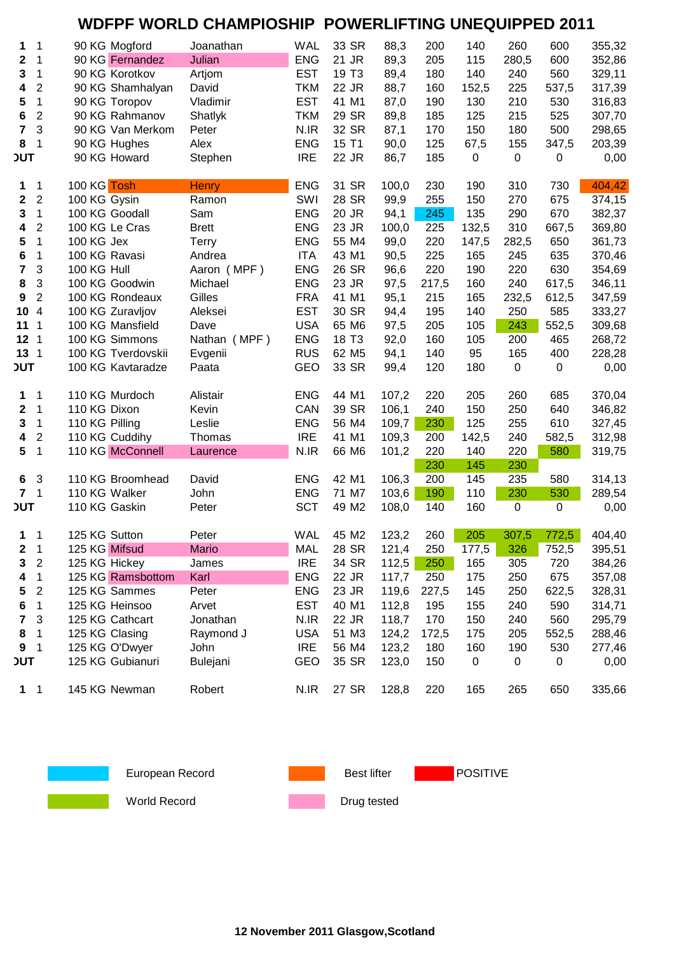#### **WDFPF WORLD CHAMPIOSHIP POWERLIFTING UNEQUIPPED 2011**

| 1               | 1              | 90 KG Mogford      | Joanathan       | <b>WAL</b> | 33 SR             | 88,3  | 200   | 140   | 260       | 600         | 355,32           |
|-----------------|----------------|--------------------|-----------------|------------|-------------------|-------|-------|-------|-----------|-------------|------------------|
| 2               | 1              | 90 KG Fernandez    | Julian          | <b>ENG</b> | 21 JR             | 89,3  | 205   | 115   | 280,5     | 600         | 352,86           |
| 3               | 1              | 90 KG Korotkov     | Artjom          | <b>EST</b> | 19 T <sub>3</sub> | 89,4  | 180   | 140   | 240       | 560         | 329,11           |
| 4               | $\overline{2}$ | 90 KG Shamhalyan   | David           | <b>TKM</b> | 22 JR             | 88,7  | 160   | 152,5 | 225       | 537,5       | 317,39           |
| 5               | $\mathbf 1$    | 90 KG Toropov      | Vladimir        | <b>EST</b> | 41 M1             | 87,0  | 190   | 130   | 210       | 530         | 316,83           |
| 6               | $\overline{2}$ | 90 KG Rahmanov     | Shatlyk         | <b>TKM</b> | 29 SR             | 89,8  | 185   | 125   | 215       | 525         | 307,70           |
| 7               | 3              | 90 KG Van Merkom   | Peter           | N.IR       | 32 SR             | 87,1  | 170   | 150   | 180       | 500         | 298,65           |
| 8               | 1              | 90 KG Hughes       | Alex            | <b>ENG</b> | 15 T1             | 90,0  | 125   | 67,5  | 155       | 347,5       | 203,39           |
| <b>JUT</b>      |                | 90 KG Howard       | Stephen         | <b>IRE</b> | 22 JR             | 86,7  | 185   | 0     | $\pmb{0}$ | 0           | 0,00             |
| 1               | 1              | 100 KG Tosh        | <b>Henry</b>    | <b>ENG</b> | 31 SR             | 100,0 | 230   | 190   | 310       | 730         | 404,42           |
| 2               | $\overline{2}$ | 100 KG Gysin       | Ramon           | SWI        | 28 SR             | 99,9  | 255   | 150   | 270       | 675         | 374,15           |
| 3               | $\mathbf 1$    | 100 KG Goodall     | Sam             | <b>ENG</b> | 20 JR             | 94,1  | 245   | 135   | 290       | 670         | 382,37           |
| 4               | $\overline{2}$ | 100 KG Le Cras     | <b>Brett</b>    | <b>ENG</b> | 23 JR             | 100,0 | 225   | 132,5 | 310       | 667,5       | 369,80           |
| 5               | $\mathbf 1$    | 100 KG Jex         | Terry           | <b>ENG</b> | 55 M4             | 99,0  | 220   | 147,5 | 282,5     | 650         | 361,73           |
| 6               | 1              | 100 KG Ravasi      | Andrea          | <b>ITA</b> | 43 M1             | 90,5  | 225   | 165   | 245       | 635         | 370,46           |
| 7               | 3              | 100 KG Hull        | Aaron (MPF)     | <b>ENG</b> | 26 SR             | 96,6  | 220   | 190   | 220       | 630         | 354,69           |
| 8               | 3              | 100 KG Goodwin     | Michael         | <b>ENG</b> | 23 JR             | 97,5  | 217,5 | 160   | 240       | 617,5       | 346,11           |
| 9               | $\overline{2}$ | 100 KG Rondeaux    | Gilles          | <b>FRA</b> | 41 M1             | 95,1  | 215   | 165   | 232,5     | 612,5       | 347,59           |
| 10              | $\overline{4}$ | 100 KG Zuravljov   | Aleksei         | <b>EST</b> | 30 SR             | 94,4  | 195   | 140   | 250       | 585         | 333,27           |
| 11              | 1              | 100 KG Mansfield   | Dave            | <b>USA</b> | 65 M6             | 97,5  | 205   | 105   | 243       | 552,5       | 309,68           |
| 12              | $\mathbf 1$    | 100 KG Simmons     | Nathan (MPF)    | <b>ENG</b> | 18 T <sub>3</sub> | 92,0  | 160   | 105   | 200       | 465         | 268,72           |
| 13              | $\mathbf 1$    | 100 KG Tverdovskii | Evgenii         | <b>RUS</b> | 62 M <sub>5</sub> | 94,1  | 140   | 95    | 165       | 400         | 228,28           |
| <b>JUT</b>      |                | 100 KG Kavtaradze  | Paata           | <b>GEO</b> | 33 SR             | 99,4  | 120   | 180   | $\pmb{0}$ | $\mathbf 0$ | 0,00             |
| 1               | 1              | 110 KG Murdoch     | Alistair        | <b>ENG</b> | 44 M1             | 107,2 | 220   | 205   | 260       | 685         |                  |
| $\mathbf 2$     | $\mathbf 1$    | 110 KG Dixon       | Kevin           | CAN        | 39 SR             | 106,1 | 240   | 150   | 250       | 640         | 370,04<br>346,82 |
| 3               | $\mathbf 1$    | 110 KG Pilling     | Leslie          | <b>ENG</b> | 56 M4             | 109,7 | 230   | 125   | 255       | 610         | 327,45           |
| 4               | $\overline{2}$ | 110 KG Cuddihy     | Thomas          | <b>IRE</b> | 41 M1             | 109,3 | 200   | 142,5 | 240       | 582,5       | 312,98           |
| $5\phantom{.0}$ | $\mathbf{1}$   | 110 KG McConnell   |                 | N.IR       | 66 M6             | 101,2 | 220   | 140   | 220       | 580         | 319,75           |
|                 |                |                    | Laurence        |            |                   |       | 230   | 145   | 230       |             |                  |
| 6               | 3              | 110 KG Broomhead   | David           | <b>ENG</b> | 42 M1             | 106,3 | 200   | 145   | 235       | 580         | 314,13           |
| 7               | 1              | 110 KG Walker      | John            | <b>ENG</b> | 71 M7             | 103,6 | 190   | 110   | 230       | 530         | 289,54           |
| <b>JUT</b>      |                | 110 KG Gaskin      | Peter           | <b>SCT</b> | 49 M2             | 108,0 | 140   | 160   | $\pmb{0}$ | $\pmb{0}$   | 0,00             |
|                 |                |                    |                 |            |                   |       |       |       |           |             |                  |
| $\mathbf 1$     | 1              | 125 KG Sutton      | Peter           | <b>WAL</b> | 45 M2             | 123,2 | 260   | 205   | 307,5     | 772,5       | 404,40           |
| 2               | $\mathbf{1}$   | 125 KG Mifsud      | <b>Mario</b>    | <b>MAL</b> | 28 SR             | 121,4 | 250   | 177,5 | 326       | 752,5       | 395,51           |
| 3               | $\overline{2}$ | 125 KG Hickey      | James           | <b>IRE</b> | 34 SR             | 112,5 | 250   | 165   | 305       | 720         | 384,26           |
| 4               | $\mathbf 1$    | 125 KG Ramsbottom  | Karl            | <b>ENG</b> | 22 JR             | 117,7 | 250   | 175   | 250       | 675         | 357,08           |
| 5               | $\overline{2}$ | 125 KG Sammes      | Peter           | <b>ENG</b> | 23 JR             | 119,6 | 227,5 | 145   | 250       | 622,5       | 328,31           |
| 6               | $\mathbf 1$    | 125 KG Heinsoo     | Arvet           | <b>EST</b> | 40 M1             | 112,8 | 195   | 155   | 240       | 590         | 314,71           |
| 7               | 3              | 125 KG Cathcart    | Jonathan        | N.IR       | 22 JR             | 118,7 | 170   | 150   | 240       | 560         | 295,79           |
| 8               | $\mathbf 1$    | 125 KG Clasing     | Raymond J       | <b>USA</b> | 51 M3             | 124,2 | 172,5 | 175   | 205       | 552,5       | 288,46           |
| 9               | 1              | 125 KG O'Dwyer     | John            | <b>IRE</b> | 56 M4             | 123,2 | 180   | 160   | 190       | 530         | 277,46           |
| <b>JUT</b>      |                | 125 KG Gubianuri   | <b>Bulejani</b> | GEO        | 35 SR             | 123,0 | 150   | 0     | 0         | 0           | 0,00             |
| $1 \quad 1$     |                | 145 KG Newman      | Robert          | N.IR       | 27 SR             | 128,8 | 220   | 165   | 265       | 650         | 335,66           |



European Record **Best lifter** Best lifter **POSITIVE** 

**Example 3 World Record Contract of the Drug tested**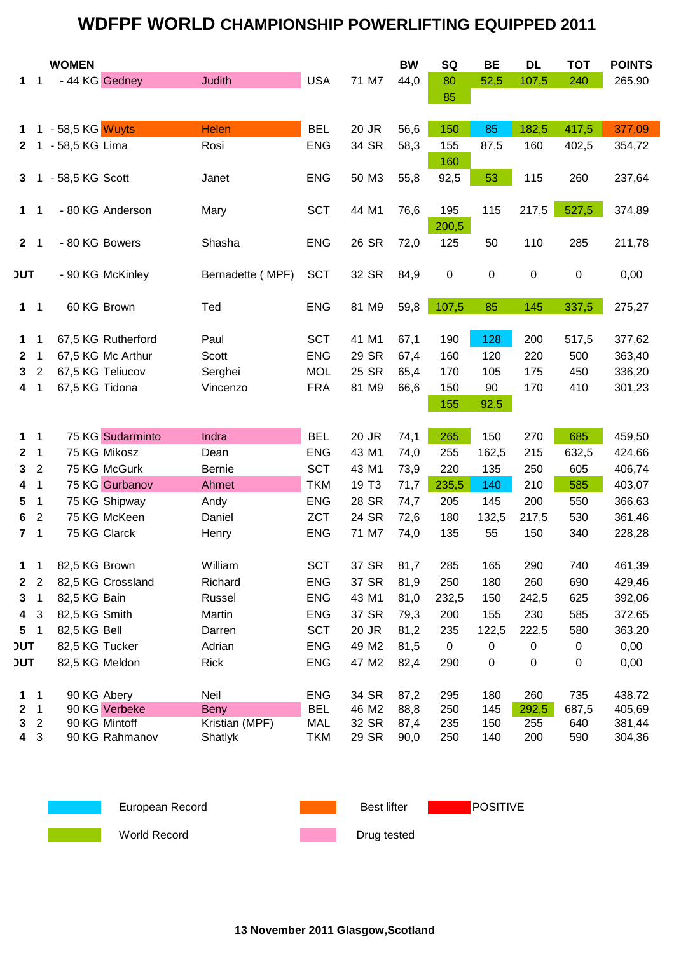# **WDFPF WORLD CHAMPIONSHIP POWERLIFTING EQUIPPED 2011**

|                |                  | <b>WOMEN</b>     |                    |                     |                          |                   | <b>BW</b>    | SQ               | <b>BE</b>  | <b>DL</b>    | <b>TOT</b>   | <b>POINTS</b>    |
|----------------|------------------|------------------|--------------------|---------------------|--------------------------|-------------------|--------------|------------------|------------|--------------|--------------|------------------|
| 1.             | $\mathbf 1$      | - 44 KG Gedney   |                    | <b>Judith</b>       | <b>USA</b>               | 71 M7             | 44,0         | 80               | 52,5       | 107,5        | 240          | 265,90           |
|                |                  |                  |                    |                     |                          |                   |              | 85               |            |              |              |                  |
|                |                  |                  |                    |                     |                          |                   |              |                  |            |              |              |                  |
| 1.             |                  | - 58,5 KG Wuyts  |                    | <b>Helen</b>        | <b>BEL</b>               | 20 JR             | 56,6         | 150              | 85         | 182,5        | 417,5        | 377,09           |
| $\mathbf{2}$   | 1                | - 58,5 KG Lima   |                    | Rosi                | <b>ENG</b>               | 34 SR             | 58,3         | 155              | 87,5       | 160          | 402,5        | 354,72           |
|                |                  |                  |                    |                     |                          |                   |              | 160              |            |              |              |                  |
| 3              |                  | - 58,5 KG Scott  |                    | Janet               | <b>ENG</b>               | 50 M3             | 55,8         | 92,5             | 53         | 115          | 260          | 237,64           |
|                |                  |                  |                    |                     |                          |                   |              |                  |            |              |              |                  |
| $\mathbf 1$    | 1                |                  | - 80 KG Anderson   | Mary                | <b>SCT</b>               | 44 M1             | 76,6         | 195              | 115        | 217,5        | 527,5        | 374,89           |
|                |                  |                  |                    |                     |                          |                   |              | 200,5            |            |              |              |                  |
| 2 <sub>1</sub> |                  | - 80 KG Bowers   |                    | Shasha              | <b>ENG</b>               | 26 SR             | 72,0         | 125              | 50         | 110          | 285          | 211,78           |
|                |                  |                  |                    |                     |                          |                   |              |                  |            |              |              |                  |
| <b>JUT</b>     |                  |                  | - 90 KG McKinley   | Bernadette (MPF)    | <b>SCT</b>               | 32 SR             | 84,9         | $\boldsymbol{0}$ | 0          | $\pmb{0}$    | $\pmb{0}$    | 0,00             |
|                |                  |                  |                    |                     |                          |                   |              |                  |            |              |              |                  |
| $1 \quad 1$    |                  | 60 KG Brown      |                    | Ted                 | <b>ENG</b>               | 81 M9             | 59,8         | 107,5            | 85         | 145          | 337,5        | 275,27           |
|                |                  |                  |                    |                     |                          |                   |              |                  |            |              |              |                  |
| $\mathbf 1$    | 1                |                  | 67,5 KG Rutherford | Paul                | <b>SCT</b>               | 41 M1             | 67,1         | 190              | 128        | 200          | 517,5        | 377,62           |
| $\mathbf{2}$   | $\mathbf 1$      |                  | 67,5 KG Mc Arthur  | Scott               | <b>ENG</b>               | 29 SR             | 67,4         | 160              | 120        | 220          | 500          | 363,40           |
| 3              | $\overline{2}$   | 67,5 KG Teliucov |                    | Serghei             | <b>MOL</b>               | 25 SR             | 65,4         | 170              | 105        | 175          | 450          | 336,20           |
| 4              | 1                | 67,5 KG Tidona   |                    | Vincenzo            | <b>FRA</b>               | 81 M9             | 66,6         | 150              | 90         | 170          | 410          | 301,23           |
|                |                  |                  |                    |                     |                          |                   |              | 155              | 92,5       |              |              |                  |
|                |                  |                  |                    |                     |                          |                   |              |                  |            |              |              |                  |
| $\mathbf 1$    | 1                |                  | 75 KG Sudarminto   | Indra               | <b>BEL</b>               | 20 JR             | 74,1         | 265              | 150        | 270          | 685          | 459,50           |
| $\mathbf{2}$   | 1                |                  | 75 KG Mikosz       | Dean                | <b>ENG</b>               | 43 M1             | 74,0         | 255              | 162,5      | 215          | 632,5        | 424,66           |
| 3              | $\overline{2}$   |                  | 75 KG McGurk       | <b>Bernie</b>       | <b>SCT</b>               | 43 M1             | 73,9         | 220              | 135        | 250          | 605          | 406,74           |
| 4              | $\mathbf 1$      |                  | 75 KG Gurbanov     | Ahmet               | <b>TKM</b>               | 19 T <sub>3</sub> | 71,7         | 235,5            | 140        | 210          | 585          | 403,07           |
| 5              | $\mathbf 1$      |                  | 75 KG Shipway      | Andy                | <b>ENG</b>               | 28 SR             | 74,7         | 205              | 145        | 200          | 550          | 366,63           |
| 6              | $\overline{2}$   |                  | 75 KG McKeen       | Daniel              | <b>ZCT</b>               | 24 SR             | 72,6         | 180              | 132,5      | 217,5        | 530          | 361,46           |
| 7              | 1                | 75 KG Clarck     |                    | Henry               | <b>ENG</b>               | 71 M7             | 74,0         | 135              | 55         | 150          | 340          | 228,28           |
|                |                  |                  |                    |                     |                          |                   |              |                  |            |              |              |                  |
| 1              | 1                | 82,5 KG Brown    |                    | William             | <b>SCT</b>               | 37 SR             | 81,7         | 285              | 165        | 290          | 740          | 461,39           |
| $\mathbf{2}$   | 2                |                  | 82,5 KG Crossland  | Richard             | <b>ENG</b>               | 37 SR             | 81,9         | 250              | 180        | 260          | 690          | 429,46           |
| 3              | 1                | 82,5 KG Bain     |                    | Russel              | <b>ENG</b>               | 43 M1             | 81,0         | 232,5            | 150        | 242,5        | 625          | 392,06           |
| 4              | 3                | 82,5 KG Smith    |                    | Martin              | <b>ENG</b>               | 37 SR             | 79,3         | 200              | 155        | 230          | 585          | 372,65           |
| 5              | 1                | 82,5 KG Bell     |                    | Darren              | <b>SCT</b>               | 20 JR             | 81,2         | 235              | 122,5      | 222,5        | 580          | 363,20           |
| <b>JUT</b>     |                  | 82,5 KG Tucker   |                    | Adrian              | <b>ENG</b>               | 49 M2             | 81,5         | $\mathbf 0$      | 0          | 0            | 0            | 0,00             |
| <b>JUT</b>     |                  | 82,5 KG Meldon   |                    | Rick                | <b>ENG</b>               | 47 M2             | 82,4         | 290              | 0          | 0            | $\pmb{0}$    | 0,00             |
|                |                  |                  |                    |                     |                          |                   |              |                  |            |              |              |                  |
| 1<br>2         | 1<br>$\mathbf 1$ | 90 KG Abery      | 90 KG Verbeke      | Neil<br><b>Beny</b> | <b>ENG</b><br><b>BEL</b> | 34 SR<br>46 M2    | 87,2<br>88,8 | 295<br>250       | 180<br>145 | 260<br>292,5 | 735<br>687,5 | 438,72<br>405,69 |
| 3              | $\overline{2}$   |                  | 90 KG Mintoff      | Kristian (MPF)      | <b>MAL</b>               | 32 SR             | 87,4         | 235              | 150        | 255          | 640          | 381,44           |
| 4              | 3                |                  | 90 KG Rahmanov     | Shatlyk             | <b>TKM</b>               | 29 SR             | 90,0         | 250              | 140        | 200          | 590          | 304,36           |
|                |                  |                  |                    |                     |                          |                   |              |                  |            |              |              |                  |